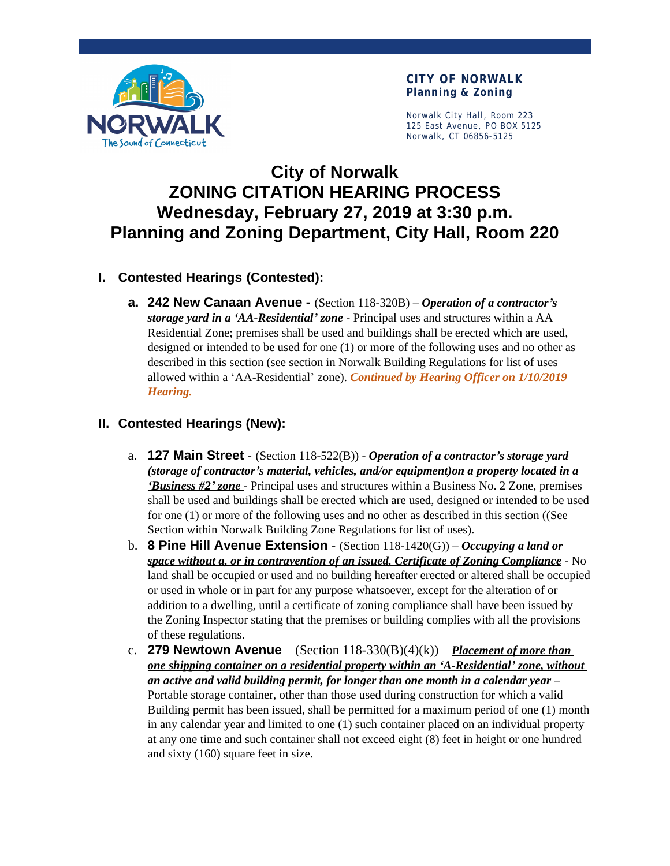

Norwalk City Hall, Room 223 125 East Avenue, PO BOX 5125 Norwalk, CT 06856-5125

# **City of Norwalk ZONING CITATION HEARING PROCESS Wednesday, February 27, 2019 at 3:30 p.m. Planning and Zoning Department, City Hall, Room 220**

## **I. Contested Hearings (Contested):**

**a. 242 New Canaan Avenue -** (Section 118-320B) – *Operation of a contractor's storage yard in a 'AA-Residential' zone* - Principal uses and structures within a AA Residential Zone; premises shall be used and buildings shall be erected which are used, designed or intended to be used for one (1) or more of the following uses and no other as described in this section (see section in Norwalk Building Regulations for list of uses allowed within a 'AA-Residential' zone). *Continued by Hearing Officer on 1/10/2019 Hearing.*

### **II. Contested Hearings (New):**

- a. **127 Main Street** (Section 118-522(B)) *Operation of a contractor's storage yard (storage of contractor's material, vehicles, and/or equipment)on a property located in a 'Business #2' zone* - Principal uses and structures within a Business No. 2 Zone, premises shall be used and buildings shall be erected which are used, designed or intended to be used for one (1) or more of the following uses and no other as described in this section ((See Section within Norwalk Building Zone Regulations for list of uses).
- b. **8 Pine Hill Avenue Extension** (Section 118-1420(G)) *Occupying a land or space without a, or in contravention of an issued, Certificate of Zoning Compliance* - No land shall be occupied or used and no building hereafter erected or altered shall be occupied or used in whole or in part for any purpose whatsoever, except for the alteration of or addition to a dwelling, until a certificate of zoning compliance shall have been issued by the Zoning Inspector stating that the premises or building complies with all the provisions of these regulations.
- c. **279 Newtown Avenue** (Section  $118-330(B)(4)(k)$ ) *Placement of more than one shipping container on a residential property within an 'A-Residential' zone, without an active and valid building permit, for longer than one month in a calendar year* – Portable storage container, other than those used during construction for which a valid Building permit has been issued, shall be permitted for a maximum period of one (1) month in any calendar year and limited to one (1) such container placed on an individual property at any one time and such container shall not exceed eight (8) feet in height or one hundred and sixty (160) square feet in size.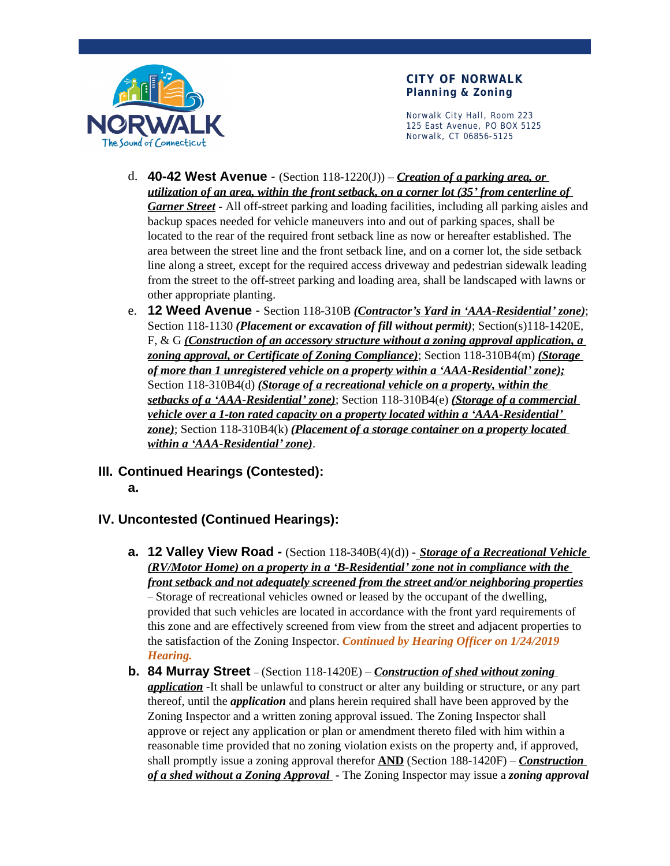

Norwalk City Hall, Room 223 125 East Avenue, PO BOX 5125 Norwalk, CT 06856-5125

- d. **40-42 West Avenue**  (Section 118-1220(J)) *Creation of a parking area, or utilization of an area, within the front setback, on a corner lot (35' from centerline of Garner Street* - All off-street parking and loading facilities, including all parking aisles and backup spaces needed for vehicle maneuvers into and out of parking spaces, shall be located to the rear of the required front setback line as now or hereafter established. The area between the street line and the front setback line, and on a corner lot, the side setback line along a street, except for the required access driveway and pedestrian sidewalk leading from the street to the off-street parking and loading area, shall be landscaped with lawns or other appropriate planting.
- e. **12 Weed Avenue**  Section 118-310B *(Contractor's Yard in 'AAA-Residential' zone)*; Section 118-1130 *(Placement or excavation of fill without permit)*; Section(s)118-1420E, F, & G *(Construction of an accessory structure without a zoning approval application, a zoning approval, or Certificate of Zoning Compliance)*; Section 118-310B4(m) *(Storage of more than 1 unregistered vehicle on a property within a 'AAA-Residential' zone);* Section 118-310B4(d) *(Storage of a recreational vehicle on a property, within the setbacks of a 'AAA-Residential' zone)*; Section 118-310B4(e) *(Storage of a commercial vehicle over a 1-ton rated capacity on a property located within a 'AAA-Residential' zone)*; Section 118-310B4(k) *(Placement of a storage container on a property located within a 'AAA-Residential' zone)*.
- **III. Continued Hearings (Contested):**
	- **a.**

## **IV. Uncontested (Continued Hearings):**

- **a. 12 Valley View Road** (Section 118-340B(4)(d)) *Storage of a Recreational Vehicle (RV/Motor Home) on a property in a 'B-Residential' zone not in compliance with the front setback and not adequately screened from the street and/or neighboring properties –* Storage of recreational vehicles owned or leased by the occupant of the dwelling, provided that such vehicles are located in accordance with the front yard requirements of this zone and are effectively screened from view from the street and adjacent properties to the satisfaction of the Zoning Inspector. *Continued by Hearing Officer on 1/24/2019 Hearing.*
- **b. 84 Murray Street**  (Section 118-1420E) *Construction of shed without zoning application* -It shall be unlawful to construct or alter any building or structure, or any part thereof, until the *application* and plans herein required shall have been approved by the Zoning Inspector and a written zoning approval issued. The Zoning Inspector shall approve or reject any application or plan or amendment thereto filed with him within a reasonable time provided that no zoning violation exists on the property and, if approved, shall promptly issue a zoning approval therefor **AND** (Section 188-1420F) – *Construction of a shed without a Zoning Approval* - The Zoning Inspector may issue a *zoning approval*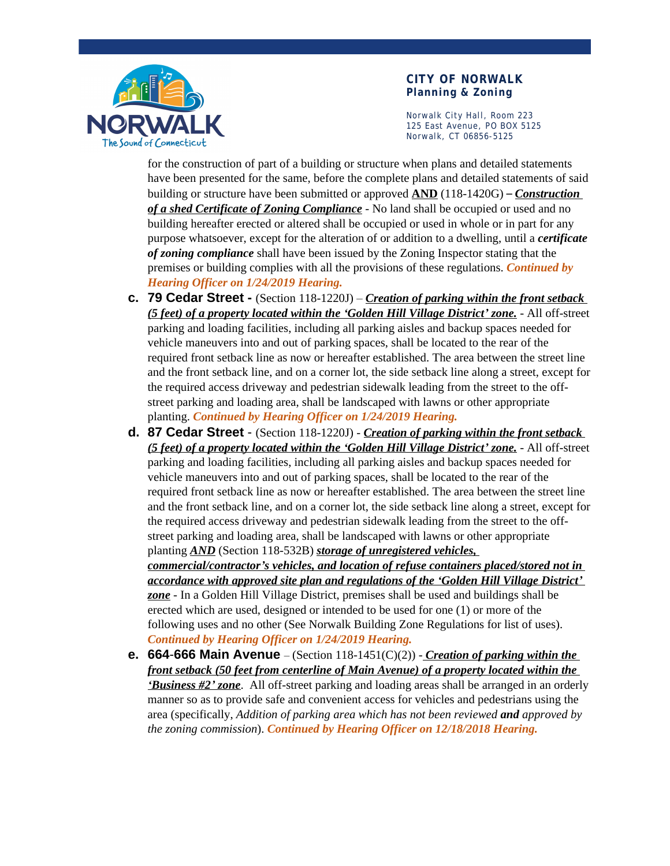

Norwalk City Hall, Room 223 125 East Avenue, PO BOX 5125 Norwalk, CT 06856-5125

for the construction of part of a building or structure when plans and detailed statements have been presented for the same, before the complete plans and detailed statements of said building or structure have been submitted or approved **AND** (118-1420G) – *Construction of a shed Certificate of Zoning Compliance* - No land shall be occupied or used and no building hereafter erected or altered shall be occupied or used in whole or in part for any purpose whatsoever, except for the alteration of or addition to a dwelling, until a *certificate of zoning compliance* shall have been issued by the Zoning Inspector stating that the premises or building complies with all the provisions of these regulations. *Continued by Hearing Officer on 1/24/2019 Hearing.*

- **c. 79 Cedar Street** (Section 118-1220J) *Creation of parking within the front setback (5 feet) of a property located within the 'Golden Hill Village District' zone.* - All off-street parking and loading facilities, including all parking aisles and backup spaces needed for vehicle maneuvers into and out of parking spaces, shall be located to the rear of the required front setback line as now or hereafter established. The area between the street line and the front setback line, and on a corner lot, the side setback line along a street, except for the required access driveway and pedestrian sidewalk leading from the street to the offstreet parking and loading area, shall be landscaped with lawns or other appropriate planting. *Continued by Hearing Officer on 1/24/2019 Hearing.*
- **d. 87 Cedar Street**  (Section 118-1220J) *Creation of parking within the front setback (5 feet) of a property located within the 'Golden Hill Village District' zone.* - All off-street parking and loading facilities, including all parking aisles and backup spaces needed for vehicle maneuvers into and out of parking spaces, shall be located to the rear of the required front setback line as now or hereafter established. The area between the street line and the front setback line, and on a corner lot, the side setback line along a street, except for the required access driveway and pedestrian sidewalk leading from the street to the offstreet parking and loading area, shall be landscaped with lawns or other appropriate planting *AND* (Section 118-532B) *storage of unregistered vehicles, commercial/contractor's vehicles, and location of refuse containers placed/stored not in accordance with approved site plan and regulations of the 'Golden Hill Village District' zone* - In a Golden Hill Village District, premises shall be used and buildings shall be erected which are used, designed or intended to be used for one (1) or more of the following uses and no other (See Norwalk Building Zone Regulations for list of uses).

*Continued by Hearing Officer on 1/24/2019 Hearing.*

**e. 664**-**666 Main Avenue** – (Section 118-1451(C)(2)) - *Creation of parking within the front setback (50 feet from centerline of Main Avenue) of a property located within the 'Business #2' zone*. All off-street parking and loading areas shall be arranged in an orderly manner so as to provide safe and convenient access for vehicles and pedestrians using the area (specifically, *Addition of parking area which has not been reviewed and approved by the zoning commission*). *Continued by Hearing Officer on 12/18/2018 Hearing.*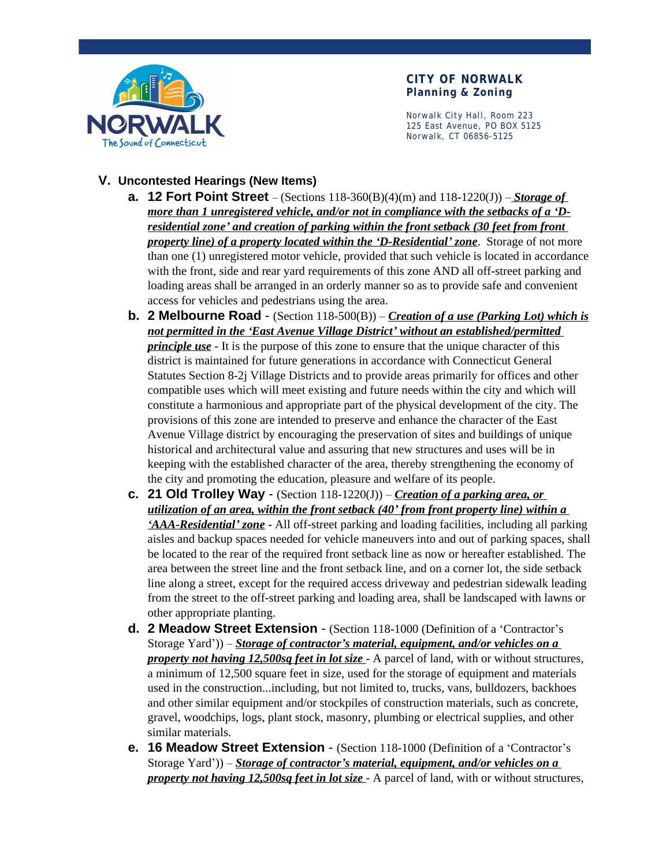

Norwalk City Hall, Room 223 125 East Avenue, PO BOX 5125 Norwalk, CT 06856-5125

### **V. Uncontested Hearings (New Items)**

- **a. 12 Fort Point Street** (Sections 118-360(B)(4)(m) and 118-1220(J)) *Storage of more than 1 unregistered vehicle, and/or not in compliance with the setbacks of a 'Dresidential zone' and creation of parking within the front setback (30 feet from front property line) of a property located within the 'D-Residential' zone*. Storage of not more than one (1) unregistered motor vehicle, provided that such vehicle is located in accordance with the front, side and rear yard requirements of this zone AND all off-street parking and loading areas shall be arranged in an orderly manner so as to provide safe and convenient access for vehicles and pedestrians using the area.
- **b. 2 Melbourne Road**  (Section 118-500(B)) *Creation of a use (Parking Lot) which is not permitted in the 'East Avenue Village District' without an established/permitted principle use* - It is the purpose of this zone to ensure that the unique character of this district is maintained for future generations in accordance with Connecticut General Statutes Section 8-2j Village Districts and to provide areas primarily for offices and other compatible uses which will meet existing and future needs within the city and which will constitute a harmonious and appropriate part of the physical development of the city. The provisions of this zone are intended to preserve and enhance the character of the East Avenue Village district by encouraging the preservation of sites and buildings of unique historical and architectural value and assuring that new structures and uses will be in keeping with the established character of the area, thereby strengthening the economy of the city and promoting the education, pleasure and welfare of its people.
- **c. 21 Old Trolley Way** (Section  $118-1220(J)$ ) *Creation of a parking area, or utilization of an area, within the front setback (40' from front property line) within a 'AAA-Residential' zone* - All off-street parking and loading facilities, including all parking aisles and backup spaces needed for vehicle maneuvers into and out of parking spaces, shall be located to the rear of the required front setback line as now or hereafter established. The area between the street line and the front setback line, and on a corner lot, the side setback line along a street, except for the required access driveway and pedestrian sidewalk leading from the street to the off-street parking and loading area, shall be landscaped with lawns or other appropriate planting.
- **d. 2 Meadow Street Extension** (Section 118-1000 (Definition of a 'Contractor's Storage Yard')) – *Storage of contractor's material, equipment, and/or vehicles on a property not having 12,500sq feet in lot size* - A parcel of land, with or without structures, a minimum of 12,500 square feet in size, used for the storage of equipment and materials used in the construction...including, but not limited to, trucks, vans, bulldozers, backhoes and other similar equipment and/or stockpiles of construction materials, such as concrete, gravel, woodchips, logs, plant stock, masonry, plumbing or electrical supplies, and other similar materials.
- **e. 16 Meadow Street Extension** (Section 118-1000 (Definition of a 'Contractor's Storage Yard')) – *Storage of contractor's material, equipment, and/or vehicles on a property not having 12,500sq feet in lot size* - A parcel of land, with or without structures,